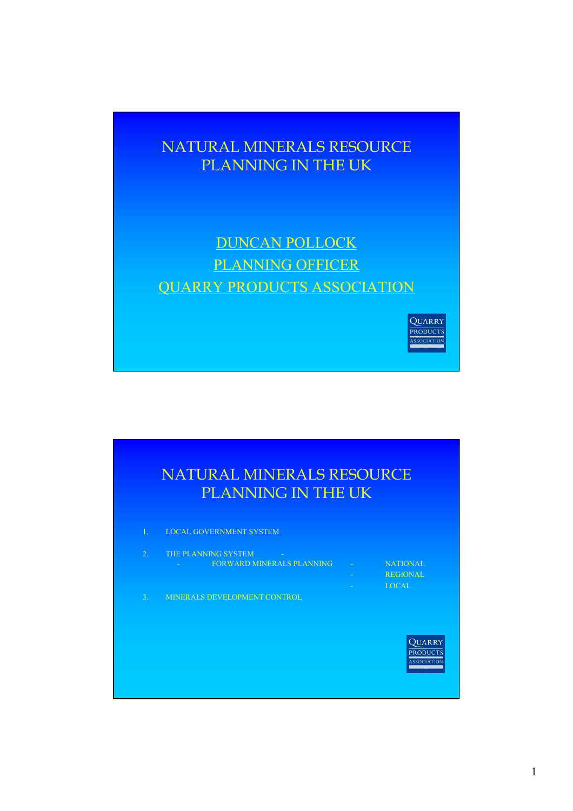## NATURAL MINERALS RESOURCE PLANNING IN THE UK

## DUNCAN POLLOCK PLANNING OFFICER QUARRY PRODUCTS ASSOCIATION

QUARRY PRODUCTS **OCTATION** 

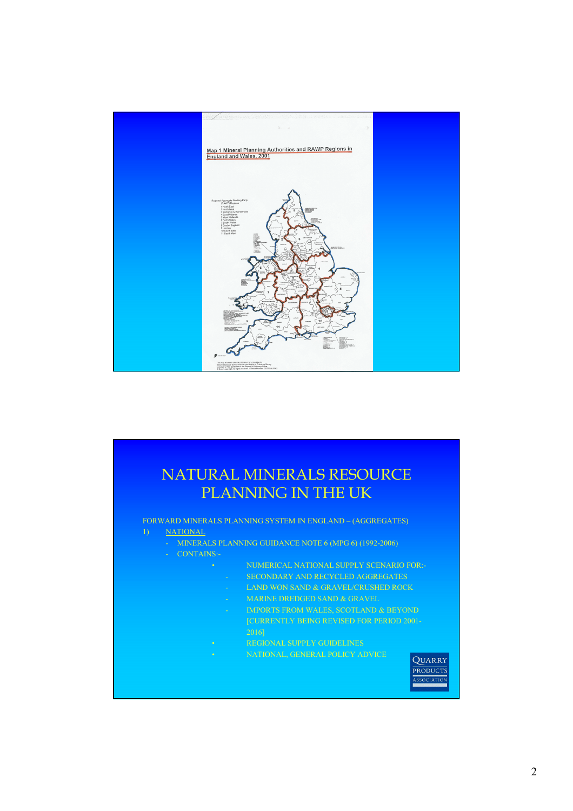

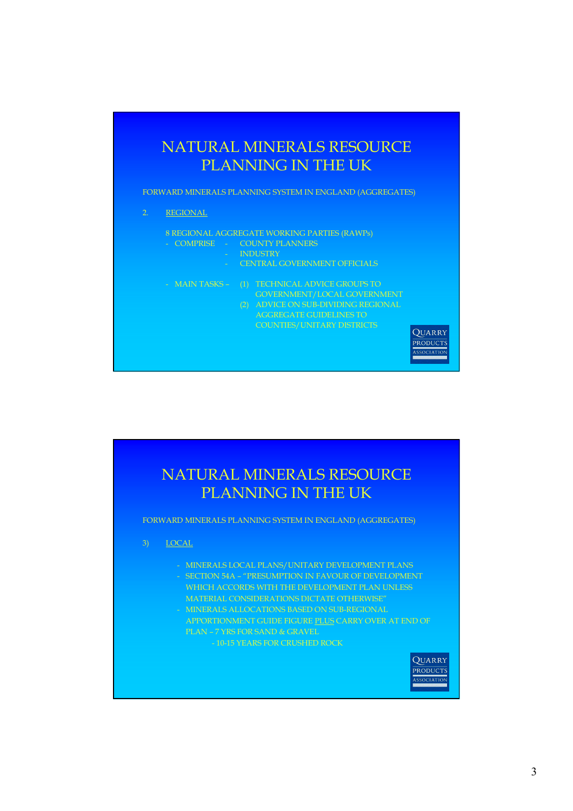

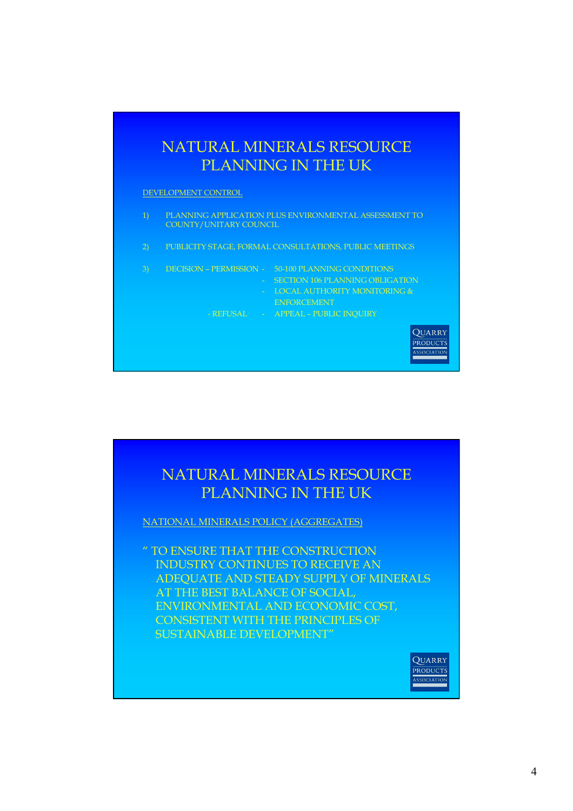

DEVELOPMENT CONTROL

- 1) PLANNING APPLICATION PLUS ENVIRONMENTAL ASSESSMENT TO COUNTY/UNITARY COUNCIL
- 2) PUBLICITY STAGE, FORMAL CONSULTATIONS, PUBLIC MEETINGS
- 3) DECISION PERMISSION 50-100 PLANNING CONDITIONS
	- SECTION 106 PLANNING OBLIGATION - LOCAL AUTHORITY MONITORING &
		- ENFORCEMENT

QUARRY PRODUCTS ASSOCIATIO

- REFUSAL - APPEAL - PUBLIC INQUIRY

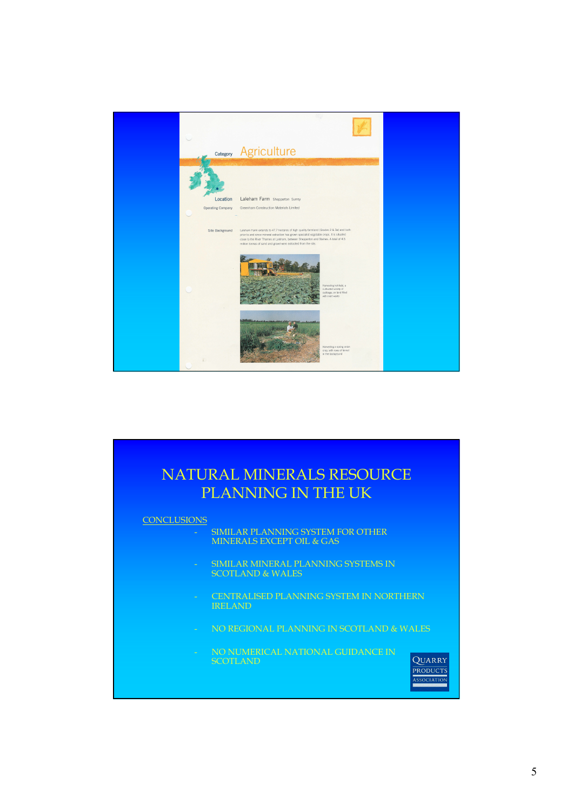

| <b>NATURAL MINERALS RESOURCE</b><br>PLANNING IN THE UK |                                                                                                  |
|--------------------------------------------------------|--------------------------------------------------------------------------------------------------|
| <b>CONCLUSIONS</b>                                     | SIMILAR PLANNING SYSTEM FOR OTHER<br><b>MINERALS EXCEPT OIL &amp; GAS</b>                        |
|                                                        | SIMILAR MINERAL PLANNING SYSTEMS IN<br><b>SCOTLAND &amp; WALES</b>                               |
|                                                        | <b>CENTRALISED PLANNING SYSTEM IN NORTHERN</b><br><b>IRELAND</b>                                 |
|                                                        | NO REGIONAL PLANNING IN SCOTLAND & WALES                                                         |
|                                                        | NO NUMERICAL NATIONAL GUIDANCE IN<br>OUARRY<br><b>SCOTLAND</b><br><b>PRODUCTS</b><br>ASSOCIATION |